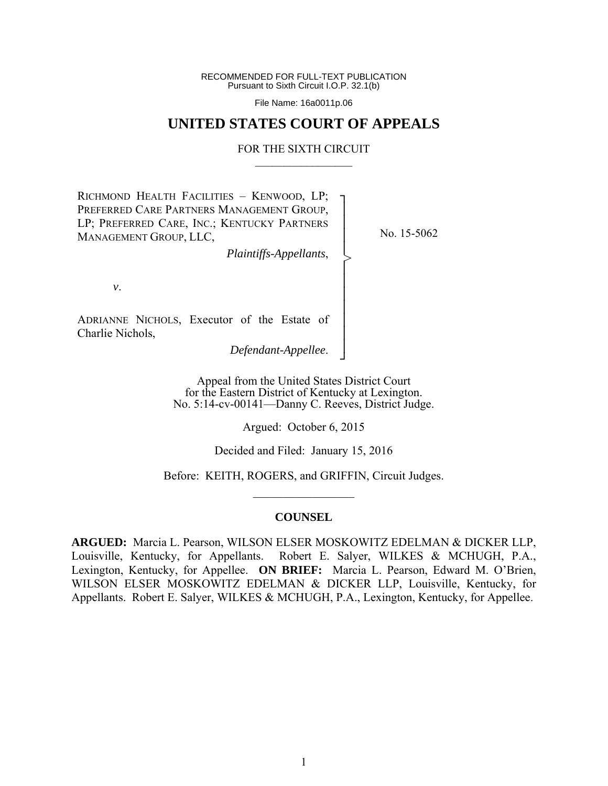RECOMMENDED FOR FULL-TEXT PUBLICATION Pursuant to Sixth Circuit I.O.P. 32.1(b)

File Name: 16a0011p.06

# **UNITED STATES COURT OF APPEALS**

#### FOR THE SIXTH CIRCUIT  $\mathcal{L}_\text{max}$

┐ │ │ │ │ │ │ │ │ │ │ │ ┘

>

RICHMOND HEALTH FACILITIES – KENWOOD, LP; PREFERRED CARE PARTNERS MANAGEMENT GROUP, LP; PREFERRED CARE, INC.; KENTUCKY PARTNERS MANAGEMENT GROUP, LLC,

No. 15-5062

*v*.

ADRIANNE NICHOLS, Executor of the Estate of Charlie Nichols,

*Defendant-Appellee*.

*Plaintiffs-Appellants*,

Appeal from the United States District Court for the Eastern District of Kentucky at Lexington. No. 5:14-cv-00141—Danny C. Reeves, District Judge.

Argued: October 6, 2015

Decided and Filed: January 15, 2016

Before: KEITH, ROGERS, and GRIFFIN, Circuit Judges.  $\mathcal{L}_\text{max}$ 

#### **COUNSEL**

**ARGUED:** Marcia L. Pearson, WILSON ELSER MOSKOWITZ EDELMAN & DICKER LLP, Louisville, Kentucky, for Appellants. Robert E. Salyer, WILKES & MCHUGH, P.A., Lexington, Kentucky, for Appellee. **ON BRIEF:** Marcia L. Pearson, Edward M. O'Brien, WILSON ELSER MOSKOWITZ EDELMAN & DICKER LLP, Louisville, Kentucky, for Appellants. Robert E. Salyer, WILKES & MCHUGH, P.A., Lexington, Kentucky, for Appellee.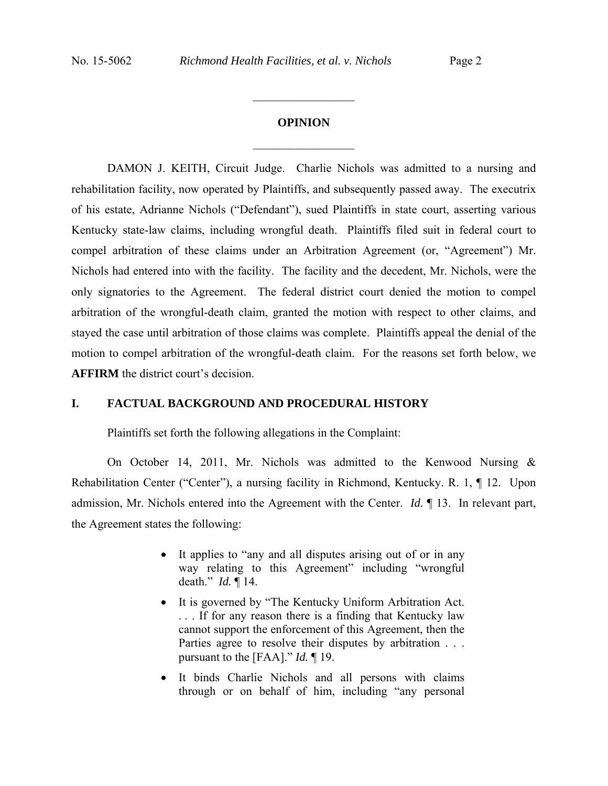# **OPINION**  $\frac{1}{2}$

 $\frac{1}{2}$  ,  $\frac{1}{2}$  ,  $\frac{1}{2}$  ,  $\frac{1}{2}$  ,  $\frac{1}{2}$  ,  $\frac{1}{2}$  ,  $\frac{1}{2}$  ,  $\frac{1}{2}$ 

 DAMON J. KEITH, Circuit Judge.Charlie Nichols was admitted to a nursing and rehabilitation facility, now operated by Plaintiffs, and subsequently passed away. The executrix of his estate, Adrianne Nichols ("Defendant"), sued Plaintiffs in state court, asserting various Kentucky state-law claims, including wrongful death. Plaintiffs filed suit in federal court to compel arbitration of these claims under an Arbitration Agreement (or, "Agreement") Mr. Nichols had entered into with the facility. The facility and the decedent, Mr. Nichols, were the only signatories to the Agreement. The federal district court denied the motion to compel arbitration of the wrongful-death claim, granted the motion with respect to other claims, and stayed the case until arbitration of those claims was complete. Plaintiffs appeal the denial of the motion to compel arbitration of the wrongful-death claim. For the reasons set forth below, we **AFFIRM** the district court's decision.

## **I. FACTUAL BACKGROUND AND PROCEDURAL HISTORY**

Plaintiffs set forth the following allegations in the Complaint:

 On October 14, 2011, Mr. Nichols was admitted to the Kenwood Nursing & Rehabilitation Center ("Center"), a nursing facility in Richmond, Kentucky. R. 1, ¶ 12. Upon admission, Mr. Nichols entered into the Agreement with the Center. *Id.* ¶ 13. In relevant part, the Agreement states the following:

- It applies to "any and all disputes arising out of or in any way relating to this Agreement" including "wrongful death." *Id.* ¶ 14.
- It is governed by "The Kentucky Uniform Arbitration Act. . . . If for any reason there is a finding that Kentucky law cannot support the enforcement of this Agreement, then the Parties agree to resolve their disputes by arbitration . . . pursuant to the [FAA]." *Id.* ¶ 19.
- It binds Charlie Nichols and all persons with claims through or on behalf of him, including "any personal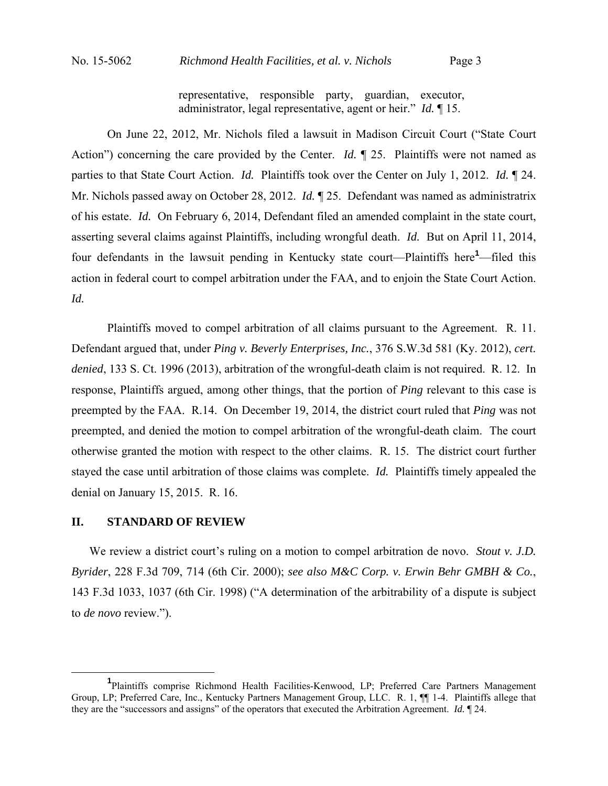representative, responsible party, guardian, executor, administrator, legal representative, agent or heir." *Id.* ¶ 15.

 On June 22, 2012, Mr. Nichols filed a lawsuit in Madison Circuit Court ("State Court Action") concerning the care provided by the Center. *Id.*  $\parallel$  25. Plaintiffs were not named as parties to that State Court Action. *Id.* Plaintiffs took over the Center on July 1, 2012. *Id.* ¶ 24. Mr. Nichols passed away on October 28, 2012. *Id.* ¶ 25. Defendant was named as administratrix of his estate. *Id.* On February 6, 2014, Defendant filed an amended complaint in the state court, asserting several claims against Plaintiffs, including wrongful death. *Id.* But on April 11, 2014, four defendants in the lawsuit pending in Kentucky state court—Plaintiffs here**<sup>1</sup>** —filed this action in federal court to compel arbitration under the FAA, and to enjoin the State Court Action. *Id.*

 Plaintiffs moved to compel arbitration of all claims pursuant to the Agreement. R. 11. Defendant argued that, under *Ping v. Beverly Enterprises, Inc.*, 376 S.W.3d 581 (Ky. 2012), *cert. denied*, 133 S. Ct. 1996 (2013), arbitration of the wrongful-death claim is not required. R. 12. In response, Plaintiffs argued, among other things, that the portion of *Ping* relevant to this case is preempted by the FAA. R.14.On December 19, 2014, the district court ruled that *Ping* was not preempted, and denied the motion to compel arbitration of the wrongful-death claim. The court otherwise granted the motion with respect to the other claims. R. 15. The district court further stayed the case until arbitration of those claims was complete. *Id.* Plaintiffs timely appealed the denial on January 15, 2015. R. 16.

## **II. STANDARD OF REVIEW**

We review a district court's ruling on a motion to compel arbitration de novo. *Stout v. J.D. Byrider*, 228 F.3d 709, 714 (6th Cir. 2000); *see also M&C Corp. v. Erwin Behr GMBH & Co.*, 143 F.3d 1033, 1037 (6th Cir. 1998) ("A determination of the arbitrability of a dispute is subject to *de novo* review.").

 $\frac{1}{1}$ <sup>1</sup>Plaintiffs comprise Richmond Health Facilities-Kenwood, LP; Preferred Care Partners Management Group, LP; Preferred Care, Inc., Kentucky Partners Management Group, LLC. R. 1, ¶¶ 1-4. Plaintiffs allege that they are the "successors and assigns" of the operators that executed the Arbitration Agreement. *Id.* ¶ 24.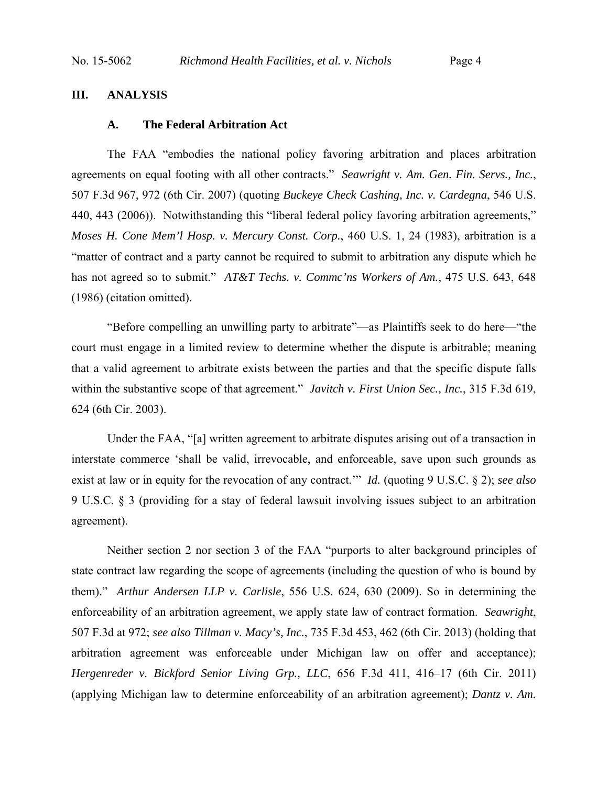# **III. ANALYSIS**

#### **A. The Federal Arbitration Act**

The FAA "embodies the national policy favoring arbitration and places arbitration agreements on equal footing with all other contracts." *Seawright v. Am. Gen. Fin. Servs., Inc.*, 507 F.3d 967, 972 (6th Cir. 2007) (quoting *Buckeye Check Cashing, Inc. v. Cardegna*, 546 U.S. 440, 443 (2006)). Notwithstanding this "liberal federal policy favoring arbitration agreements," *Moses H. Cone Mem'l Hosp. v. Mercury Const. Corp.*, 460 U.S. 1, 24 (1983), arbitration is a "matter of contract and a party cannot be required to submit to arbitration any dispute which he has not agreed so to submit." *AT&T Techs. v. Commc'ns Workers of Am.*, 475 U.S. 643, 648 (1986) (citation omitted).

"Before compelling an unwilling party to arbitrate"—as Plaintiffs seek to do here—"the court must engage in a limited review to determine whether the dispute is arbitrable; meaning that a valid agreement to arbitrate exists between the parties and that the specific dispute falls within the substantive scope of that agreement." *Javitch v. First Union Sec., Inc.*, 315 F.3d 619, 624 (6th Cir. 2003).

Under the FAA, "[a] written agreement to arbitrate disputes arising out of a transaction in interstate commerce 'shall be valid, irrevocable, and enforceable, save upon such grounds as exist at law or in equity for the revocation of any contract.'" *Id.* (quoting 9 U.S.C. § 2); *see also* 9 U.S.C. § 3 (providing for a stay of federal lawsuit involving issues subject to an arbitration agreement).

Neither section 2 nor section 3 of the FAA "purports to alter background principles of state contract law regarding the scope of agreements (including the question of who is bound by them)." *Arthur Andersen LLP v. Carlisle*, 556 U.S. 624, 630 (2009). So in determining the enforceability of an arbitration agreement, we apply state law of contract formation. *Seawright*, 507 F.3d at 972; *see also Tillman v. Macy's, Inc.*, 735 F.3d 453, 462 (6th Cir. 2013) (holding that arbitration agreement was enforceable under Michigan law on offer and acceptance); *Hergenreder v. Bickford Senior Living Grp., LLC*, 656 F.3d 411, 416–17 (6th Cir. 2011) (applying Michigan law to determine enforceability of an arbitration agreement); *Dantz v. Am.*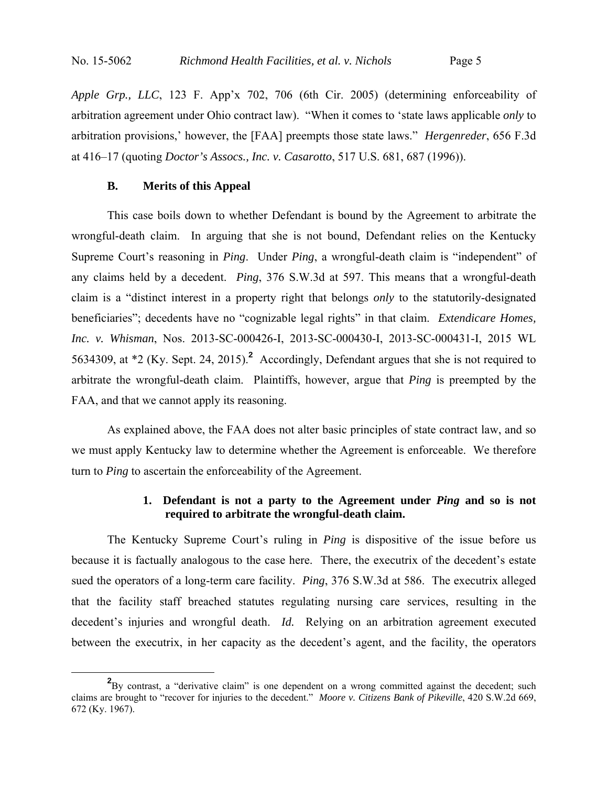*Apple Grp., LLC*, 123 F. App'x 702, 706 (6th Cir. 2005) (determining enforceability of arbitration agreement under Ohio contract law). "When it comes to 'state laws applicable *only* to arbitration provisions,' however, the [FAA] preempts those state laws." *Hergenreder*, 656 F.3d at 416–17 (quoting *Doctor's Assocs., Inc. v. Casarotto*, 517 U.S. 681, 687 (1996)).

# **B. Merits of this Appeal**

This case boils down to whether Defendant is bound by the Agreement to arbitrate the wrongful-death claim. In arguing that she is not bound, Defendant relies on the Kentucky Supreme Court's reasoning in *Ping*. Under *Ping*, a wrongful-death claim is "independent" of any claims held by a decedent. *Ping*, 376 S.W.3d at 597. This means that a wrongful-death claim is a "distinct interest in a property right that belongs *only* to the statutorily-designated beneficiaries"; decedents have no "cognizable legal rights" in that claim. *Extendicare Homes, Inc. v. Whisman*, Nos. 2013-SC-000426-I, 2013-SC-000430-I, 2013-SC-000431-I, 2015 WL 5634309, at \*2 (Ky. Sept. 24, 2015).**<sup>2</sup>** Accordingly, Defendant argues that she is not required to arbitrate the wrongful-death claim. Plaintiffs, however, argue that *Ping* is preempted by the FAA, and that we cannot apply its reasoning.

As explained above, the FAA does not alter basic principles of state contract law, and so we must apply Kentucky law to determine whether the Agreement is enforceable. We therefore turn to *Ping* to ascertain the enforceability of the Agreement.

# **1. Defendant is not a party to the Agreement under** *Ping* **and so is not required to arbitrate the wrongful-death claim.**

The Kentucky Supreme Court's ruling in *Ping* is dispositive of the issue before us because it is factually analogous to the case here. There, the executrix of the decedent's estate sued the operators of a long-term care facility. *Ping*, 376 S.W.3d at 586. The executrix alleged that the facility staff breached statutes regulating nursing care services, resulting in the decedent's injuries and wrongful death. *Id.* Relying on an arbitration agreement executed between the executrix, in her capacity as the decedent's agent, and the facility, the operators

**<sup>2</sup>** <sup>2</sup>By contrast, a "derivative claim" is one dependent on a wrong committed against the decedent; such claims are brought to "recover for injuries to the decedent." *Moore v. Citizens Bank of Pikeville*, 420 S.W.2d 669, 672 (Ky. 1967).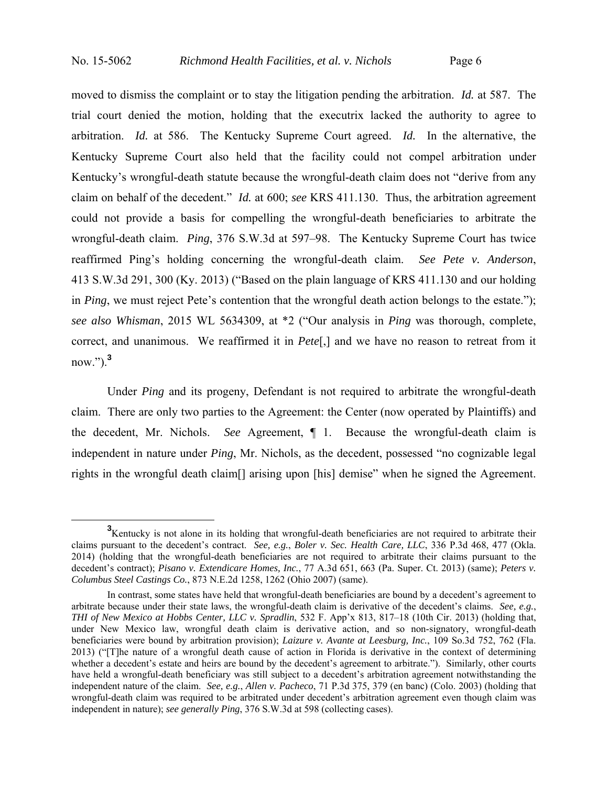moved to dismiss the complaint or to stay the litigation pending the arbitration. *Id.* at 587. The trial court denied the motion, holding that the executrix lacked the authority to agree to arbitration. *Id.* at 586. The Kentucky Supreme Court agreed. *Id.* In the alternative, the Kentucky Supreme Court also held that the facility could not compel arbitration under Kentucky's wrongful-death statute because the wrongful-death claim does not "derive from any claim on behalf of the decedent." *Id.* at 600; *see* KRS 411.130. Thus, the arbitration agreement could not provide a basis for compelling the wrongful-death beneficiaries to arbitrate the wrongful-death claim. *Ping*, 376 S.W.3d at 597–98. The Kentucky Supreme Court has twice reaffirmed Ping's holding concerning the wrongful-death claim. *See Pete v. Anderson*, 413 S.W.3d 291, 300 (Ky. 2013) ("Based on the plain language of KRS 411.130 and our holding in *Ping*, we must reject Pete's contention that the wrongful death action belongs to the estate."); *see also Whisman*, 2015 WL 5634309, at \*2 ("Our analysis in *Ping* was thorough, complete, correct, and unanimous. We reaffirmed it in *Pete*[,] and we have no reason to retreat from it now.").**<sup>3</sup>**

 Under *Ping* and its progeny, Defendant is not required to arbitrate the wrongful-death claim. There are only two parties to the Agreement: the Center (now operated by Plaintiffs) and the decedent, Mr. Nichols. *See* Agreement, ¶ 1. Because the wrongful-death claim is independent in nature under *Ping*, Mr. Nichols, as the decedent, possessed "no cognizable legal rights in the wrongful death claim[] arising upon [his] demise" when he signed the Agreement.

**<sup>3</sup>** <sup>3</sup>Kentucky is not alone in its holding that wrongful-death beneficiaries are not required to arbitrate their claims pursuant to the decedent's contract. *See, e.g.*, *Boler v. Sec. Health Care, LLC*, 336 P.3d 468, 477 (Okla. 2014) (holding that the wrongful-death beneficiaries are not required to arbitrate their claims pursuant to the decedent's contract); *Pisano v. Extendicare Homes, Inc.*, 77 A.3d 651, 663 (Pa. Super. Ct. 2013) (same); *Peters v. Columbus Steel Castings Co.*, 873 N.E.2d 1258, 1262 (Ohio 2007) (same).

In contrast, some states have held that wrongful-death beneficiaries are bound by a decedent's agreement to arbitrate because under their state laws, the wrongful-death claim is derivative of the decedent's claims. *See, e.g.*, *THI of New Mexico at Hobbs Center, LLC v. Spradlin*, 532 F. App'x 813, 817–18 (10th Cir. 2013) (holding that, under New Mexico law, wrongful death claim is derivative action, and so non-signatory, wrongful-death beneficiaries were bound by arbitration provision); *Laizure v. Avante at Leesburg, Inc.*, 109 So.3d 752, 762 (Fla. 2013) ("[T]he nature of a wrongful death cause of action in Florida is derivative in the context of determining whether a decedent's estate and heirs are bound by the decedent's agreement to arbitrate."). Similarly, other courts have held a wrongful-death beneficiary was still subject to a decedent's arbitration agreement notwithstanding the independent nature of the claim. *See, e.g.*, *Allen v. Pacheco*, 71 P.3d 375, 379 (en banc) (Colo. 2003) (holding that wrongful-death claim was required to be arbitrated under decedent's arbitration agreement even though claim was independent in nature); *see generally Ping*, 376 S.W.3d at 598 (collecting cases).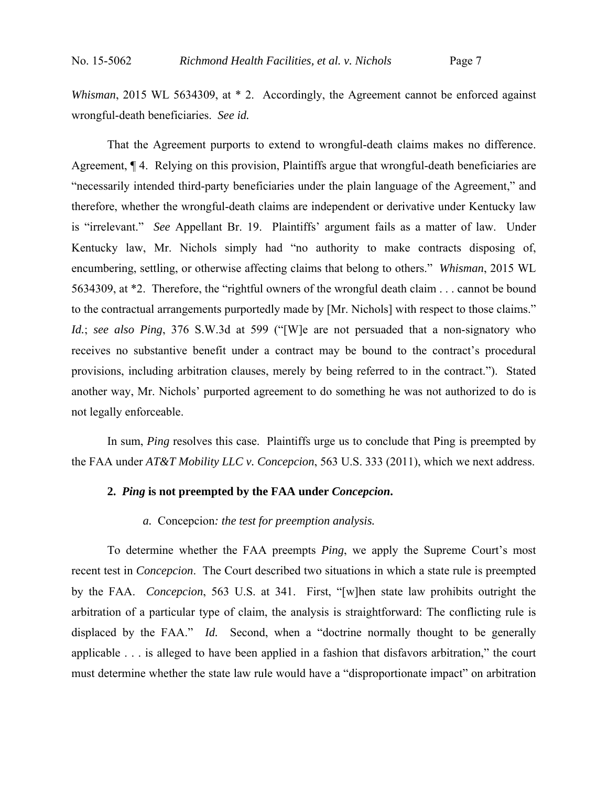*Whisman*, 2015 WL 5634309, at \* 2. Accordingly, the Agreement cannot be enforced against wrongful-death beneficiaries. *See id.*

 That the Agreement purports to extend to wrongful-death claims makes no difference. Agreement, ¶ 4. Relying on this provision, Plaintiffs argue that wrongful-death beneficiaries are "necessarily intended third-party beneficiaries under the plain language of the Agreement," and therefore, whether the wrongful-death claims are independent or derivative under Kentucky law is "irrelevant." *See* Appellant Br. 19. Plaintiffs' argument fails as a matter of law. Under Kentucky law, Mr. Nichols simply had "no authority to make contracts disposing of, encumbering, settling, or otherwise affecting claims that belong to others." *Whisman*, 2015 WL 5634309, at \*2. Therefore, the "rightful owners of the wrongful death claim . . . cannot be bound to the contractual arrangements purportedly made by [Mr. Nichols] with respect to those claims." *Id.*; *see also Ping*, 376 S.W.3d at 599 ("[W]e are not persuaded that a non-signatory who receives no substantive benefit under a contract may be bound to the contract's procedural provisions, including arbitration clauses, merely by being referred to in the contract."). Stated another way, Mr. Nichols' purported agreement to do something he was not authorized to do is not legally enforceable.

 In sum, *Ping* resolves this case. Plaintiffs urge us to conclude that Ping is preempted by the FAA under *AT&T Mobility LLC v. Concepcion*, 563 U.S. 333 (2011), which we next address.

# **2.** *Ping* **is not preempted by the FAA under** *Concepcion***.**

# *a.* Concepcion*: the test for preemption analysis.*

To determine whether the FAA preempts *Ping*, we apply the Supreme Court's most recent test in *Concepcion*. The Court described two situations in which a state rule is preempted by the FAA. *Concepcion*, 563 U.S. at 341.First, "[w]hen state law prohibits outright the arbitration of a particular type of claim, the analysis is straightforward: The conflicting rule is displaced by the FAA." *Id.* Second, when a "doctrine normally thought to be generally applicable . . . is alleged to have been applied in a fashion that disfavors arbitration," the court must determine whether the state law rule would have a "disproportionate impact" on arbitration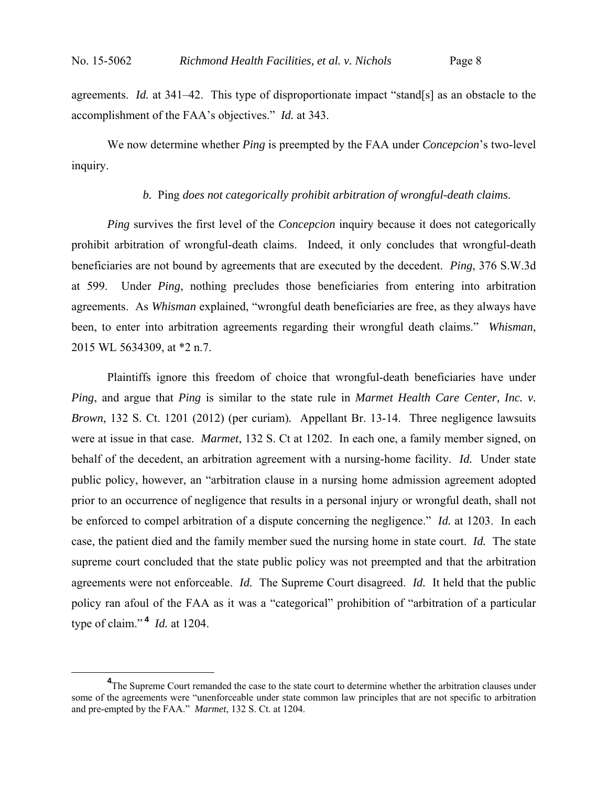agreements. *Id.* at 341–42. This type of disproportionate impact "stand[s] as an obstacle to the accomplishment of the FAA's objectives." *Id.* at 343.

We now determine whether *Ping* is preempted by the FAA under *Concepcion*'s two-level inquiry.

#### *b.* Ping *does not categorically prohibit arbitration of wrongful-death claims*.

*Ping* survives the first level of the *Concepcion* inquiry because it does not categorically prohibit arbitration of wrongful-death claims. Indeed, it only concludes that wrongful-death beneficiaries are not bound by agreements that are executed by the decedent. *Ping*, 376 S.W.3d at 599.Under *Ping*, nothing precludes those beneficiaries from entering into arbitration agreements. As *Whisman* explained, "wrongful death beneficiaries are free, as they always have been, to enter into arbitration agreements regarding their wrongful death claims." *Whisman*, 2015 WL 5634309, at \*2 n.7.

Plaintiffs ignore this freedom of choice that wrongful-death beneficiaries have under *Ping*, and argue that *Ping* is similar to the state rule in *Marmet Health Care Center, Inc. v. Brown*, 132 S. Ct. 1201 (2012) (per curiam)*.* Appellant Br. 13-14. Three negligence lawsuits were at issue in that case. *Marmet*, 132 S. Ct at 1202. In each one, a family member signed, on behalf of the decedent, an arbitration agreement with a nursing-home facility. *Id.* Under state public policy, however, an "arbitration clause in a nursing home admission agreement adopted prior to an occurrence of negligence that results in a personal injury or wrongful death, shall not be enforced to compel arbitration of a dispute concerning the negligence." *Id.* at 1203. In each case, the patient died and the family member sued the nursing home in state court. *Id.* The state supreme court concluded that the state public policy was not preempted and that the arbitration agreements were not enforceable. *Id.* The Supreme Court disagreed. *Id.* It held that the public policy ran afoul of the FAA as it was a "categorical" prohibition of "arbitration of a particular type of claim." **<sup>4</sup>** *Id.* at 1204.

**<sup>4</sup>** <sup>4</sup>The Supreme Court remanded the case to the state court to determine whether the arbitration clauses under some of the agreements were "unenforceable under state common law principles that are not specific to arbitration and pre-empted by the FAA." *Marmet*, 132 S. Ct. at 1204.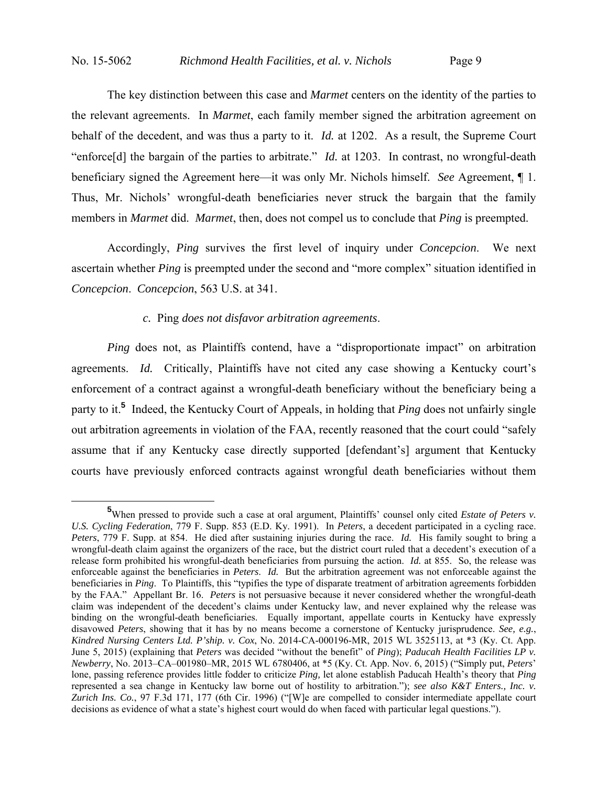The key distinction between this case and *Marmet* centers on the identity of the parties to the relevant agreements. In *Marmet*, each family member signed the arbitration agreement on behalf of the decedent, and was thus a party to it. *Id.* at 1202. As a result, the Supreme Court "enforce[d] the bargain of the parties to arbitrate." *Id.* at 1203. In contrast, no wrongful-death beneficiary signed the Agreement here—it was only Mr. Nichols himself. *See* Agreement, ¶ 1. Thus, Mr. Nichols' wrongful-death beneficiaries never struck the bargain that the family members in *Marmet* did. *Marmet*, then, does not compel us to conclude that *Ping* is preempted.

Accordingly, *Ping* survives the first level of inquiry under *Concepcion*. We next ascertain whether *Ping* is preempted under the second and "more complex" situation identified in *Concepcion*. *Concepcion*, 563 U.S. at 341.

## *c.* Ping *does not disfavor arbitration agreements*.

*Ping* does not, as Plaintiffs contend, have a "disproportionate impact" on arbitration agreements. *Id.* Critically, Plaintiffs have not cited any case showing a Kentucky court's enforcement of a contract against a wrongful-death beneficiary without the beneficiary being a party to it.**<sup>5</sup>** Indeed, the Kentucky Court of Appeals, in holding that *Ping* does not unfairly single out arbitration agreements in violation of the FAA, recently reasoned that the court could "safely assume that if any Kentucky case directly supported [defendant's] argument that Kentucky courts have previously enforced contracts against wrongful death beneficiaries without them

**<sup>5</sup>** When pressed to provide such a case at oral argument, Plaintiffs' counsel only cited *Estate of Peters v. U.S. Cycling Federation*, 779 F. Supp. 853 (E.D. Ky. 1991). In *Peters*, a decedent participated in a cycling race. *Peters*, 779 F. Supp. at 854.He died after sustaining injuries during the race. *Id.* His family sought to bring a wrongful-death claim against the organizers of the race, but the district court ruled that a decedent's execution of a release form prohibited his wrongful-death beneficiaries from pursuing the action. *Id.* at 855. So, the release was enforceable against the beneficiaries in *Peters. Id.* But the arbitration agreement was not enforceable against the beneficiaries in *Ping*. To Plaintiffs, this "typifies the type of disparate treatment of arbitration agreements forbidden by the FAA." Appellant Br. 16. *Peters* is not persuasive because it never considered whether the wrongful-death claim was independent of the decedent's claims under Kentucky law, and never explained why the release was binding on the wrongful-death beneficiaries. Equally important, appellate courts in Kentucky have expressly disavowed *Peters*, showing that it has by no means become a cornerstone of Kentucky jurisprudence. *See, e.g.*, *Kindred Nursing Centers Ltd. P'ship. v. Cox*, No. 2014-CA-000196-MR, 2015 WL 3525113, at \*3 (Ky. Ct. App. June 5, 2015) (explaining that *Peters* was decided "without the benefit" of *Ping*); *Paducah Health Facilities LP v. Newberry*, No. 2013–CA–001980–MR, 2015 WL 6780406, at \*5 (Ky. Ct. App. Nov. 6, 2015) ("Simply put, *Peters*' lone, passing reference provides little fodder to criticize *Ping,* let alone establish Paducah Health's theory that *Ping*  represented a sea change in Kentucky law borne out of hostility to arbitration."); *see also K&T Enters., Inc. v. Zurich Ins. Co.*, 97 F.3d 171, 177 (6th Cir. 1996) ("[W]e are compelled to consider intermediate appellate court decisions as evidence of what a state's highest court would do when faced with particular legal questions.").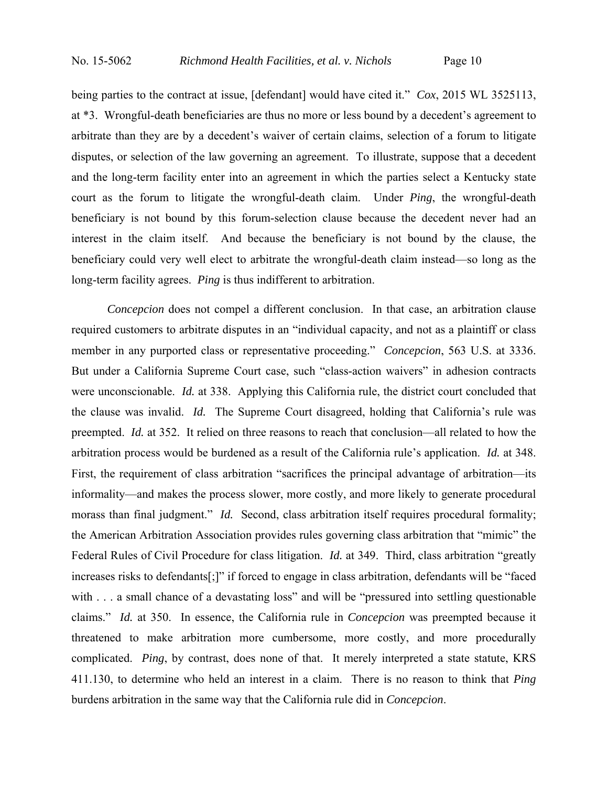being parties to the contract at issue, [defendant] would have cited it." *Cox*, 2015 WL 3525113, at \*3. Wrongful-death beneficiaries are thus no more or less bound by a decedent's agreement to arbitrate than they are by a decedent's waiver of certain claims, selection of a forum to litigate disputes, or selection of the law governing an agreement. To illustrate, suppose that a decedent and the long-term facility enter into an agreement in which the parties select a Kentucky state court as the forum to litigate the wrongful-death claim. Under *Ping*, the wrongful-death beneficiary is not bound by this forum-selection clause because the decedent never had an interest in the claim itself. And because the beneficiary is not bound by the clause, the beneficiary could very well elect to arbitrate the wrongful-death claim instead—so long as the long-term facility agrees. *Ping* is thus indifferent to arbitration.

*Concepcion* does not compel a different conclusion. In that case, an arbitration clause required customers to arbitrate disputes in an "individual capacity, and not as a plaintiff or class member in any purported class or representative proceeding." *Concepcion*, 563 U.S. at 3336. But under a California Supreme Court case, such "class-action waivers" in adhesion contracts were unconscionable. *Id.* at 338. Applying this California rule, the district court concluded that the clause was invalid. *Id.* The Supreme Court disagreed, holding that California's rule was preempted. *Id.* at 352. It relied on three reasons to reach that conclusion—all related to how the arbitration process would be burdened as a result of the California rule's application. *Id.* at 348. First, the requirement of class arbitration "sacrifices the principal advantage of arbitration—its informality—and makes the process slower, more costly, and more likely to generate procedural morass than final judgment." *Id.* Second, class arbitration itself requires procedural formality; the American Arbitration Association provides rules governing class arbitration that "mimic" the Federal Rules of Civil Procedure for class litigation. *Id.* at 349. Third, class arbitration "greatly increases risks to defendants[;]" if forced to engage in class arbitration, defendants will be "faced with . . . a small chance of a devastating loss" and will be "pressured into settling questionable claims." *Id.* at 350.In essence, the California rule in *Concepcion* was preempted because it threatened to make arbitration more cumbersome, more costly, and more procedurally complicated. *Ping*, by contrast, does none of that. It merely interpreted a state statute, KRS 411.130, to determine who held an interest in a claim. There is no reason to think that *Ping* burdens arbitration in the same way that the California rule did in *Concepcion*.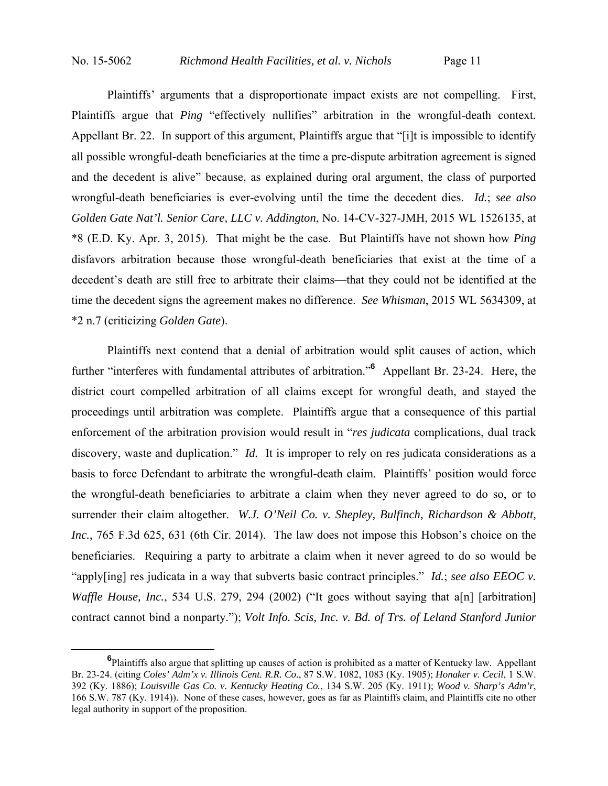Plaintiffs' arguments that a disproportionate impact exists are not compelling. First, Plaintiffs argue that *Ping* "effectively nullifies" arbitration in the wrongful-death context*.* Appellant Br. 22. In support of this argument, Plaintiffs argue that "[i]t is impossible to identify all possible wrongful-death beneficiaries at the time a pre-dispute arbitration agreement is signed and the decedent is alive" because, as explained during oral argument, the class of purported wrongful-death beneficiaries is ever-evolving until the time the decedent dies. *Id.*; *see also Golden Gate Nat'l. Senior Care, LLC v. Addington*, No. 14-CV-327-JMH, 2015 WL 1526135, at \*8 (E.D. Ky. Apr. 3, 2015). That might be the case. But Plaintiffs have not shown how *Ping*  disfavors arbitration because those wrongful-death beneficiaries that exist at the time of a decedent's death are still free to arbitrate their claims—that they could not be identified at the time the decedent signs the agreement makes no difference. *See Whisman*, 2015 WL 5634309, at \*2 n.7 (criticizing *Golden Gate*).

Plaintiffs next contend that a denial of arbitration would split causes of action, which further "interferes with fundamental attributes of arbitration."<sup>6</sup> Appellant Br. 23-24. Here, the district court compelled arbitration of all claims except for wrongful death, and stayed the proceedings until arbitration was complete. Plaintiffs argue that a consequence of this partial enforcement of the arbitration provision would result in "*res judicata* complications, dual track discovery, waste and duplication." *Id.* It is improper to rely on res judicata considerations as a basis to force Defendant to arbitrate the wrongful-death claim. Plaintiffs' position would force the wrongful-death beneficiaries to arbitrate a claim when they never agreed to do so, or to surrender their claim altogether. *W.J. O'Neil Co. v. Shepley, Bulfinch, Richardson & Abbott, Inc.*, 765 F.3d 625, 631 (6th Cir. 2014). The law does not impose this Hobson's choice on the beneficiaries. Requiring a party to arbitrate a claim when it never agreed to do so would be "apply[ing] res judicata in a way that subverts basic contract principles." *Id.*; *see also EEOC v. Waffle House, Inc.*, 534 U.S. 279, 294 (2002) ("It goes without saying that a[n] [arbitration] contract cannot bind a nonparty."); *Volt Info. Scis, Inc. v. Bd. of Trs. of Leland Stanford Junior* 

**<sup>6</sup>** <sup>6</sup>Plaintiffs also argue that splitting up causes of action is prohibited as a matter of Kentucky law. Appellant Br. 23-24. (citing *Coles' Adm'x v. Illinois Cent. R.R. Co.*, 87 S.W. 1082, 1083 (Ky. 1905); *Honaker v. Cecil*, 1 S.W. 392 (Ky. 1886); *Louisville Gas Co. v. Kentucky Heating Co.*, 134 S.W. 205 (Ky. 1911); *Wood v. Sharp's Adm'r*, 166 S.W. 787 (Ky. 1914)). None of these cases, however, goes as far as Plaintiffs claim, and Plaintiffs cite no other legal authority in support of the proposition.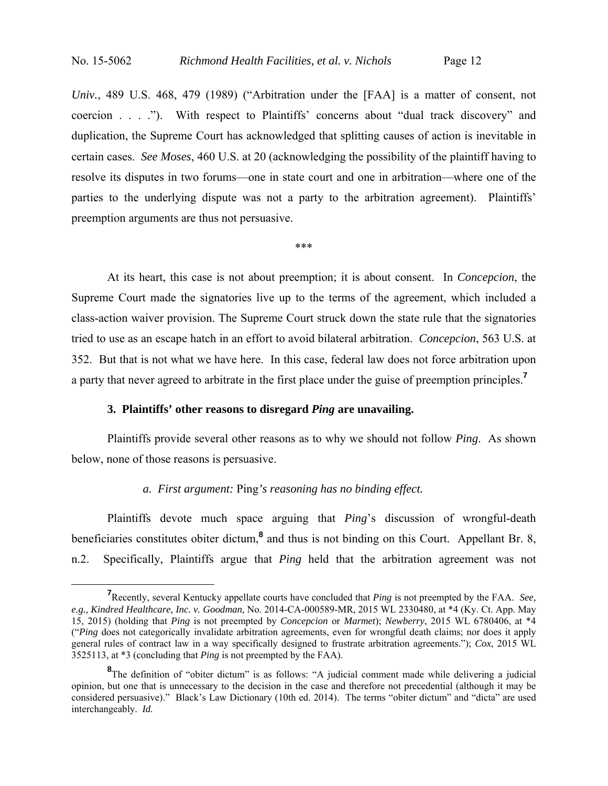*Univ.*, 489 U.S. 468, 479 (1989) ("Arbitration under the [FAA] is a matter of consent, not coercion . . . ."). With respect to Plaintiffs' concerns about "dual track discovery" and duplication, the Supreme Court has acknowledged that splitting causes of action is inevitable in certain cases. *See Moses*, 460 U.S. at 20 (acknowledging the possibility of the plaintiff having to resolve its disputes in two forums—one in state court and one in arbitration—where one of the parties to the underlying dispute was not a party to the arbitration agreement). Plaintiffs' preemption arguments are thus not persuasive.

\*\*\*

At its heart, this case is not about preemption; it is about consent. In *Concepcion*, the Supreme Court made the signatories live up to the terms of the agreement, which included a class-action waiver provision. The Supreme Court struck down the state rule that the signatories tried to use as an escape hatch in an effort to avoid bilateral arbitration. *Concepcion*, 563 U.S. at 352.But that is not what we have here. In this case, federal law does not force arbitration upon a party that never agreed to arbitrate in the first place under the guise of preemption principles.**<sup>7</sup>**

# **3. Plaintiffs' other reasons to disregard** *Ping* **are unavailing.**

Plaintiffs provide several other reasons as to why we should not follow *Ping*. As shown below, none of those reasons is persuasive.

## *a. First argument:* Ping*'s reasoning has no binding effect.*

Plaintiffs devote much space arguing that *Ping*'s discussion of wrongful-death beneficiaries constitutes obiter dictum,<sup>8</sup> and thus is not binding on this Court. Appellant Br. 8, n.2. Specifically, Plaintiffs argue that *Ping* held that the arbitration agreement was not

**<sup>7</sup>** Recently, several Kentucky appellate courts have concluded that *Ping* is not preempted by the FAA. *See, e.g.*, *Kindred Healthcare, Inc. v. Goodman*, No. 2014-CA-000589-MR, 2015 WL 2330480, at \*4 (Ky. Ct. App. May 15, 2015) (holding that *Ping* is not preempted by *Concepcion* or *Marmet*); *Newberry*, 2015 WL 6780406, at \*4 ("*Ping* does not categorically invalidate arbitration agreements, even for wrongful death claims; nor does it apply general rules of contract law in a way specifically designed to frustrate arbitration agreements."); *Cox*, 2015 WL 3525113, at \*3 (concluding that *Ping* is not preempted by the FAA).

<sup>&</sup>lt;sup>8</sup>The definition of "obiter dictum" is as follows: "A judicial comment made while delivering a judicial opinion, but one that is unnecessary to the decision in the case and therefore not precedential (although it may be considered persuasive)." Black's Law Dictionary (10th ed. 2014). The terms "obiter dictum" and "dicta" are used interchangeably. *Id.*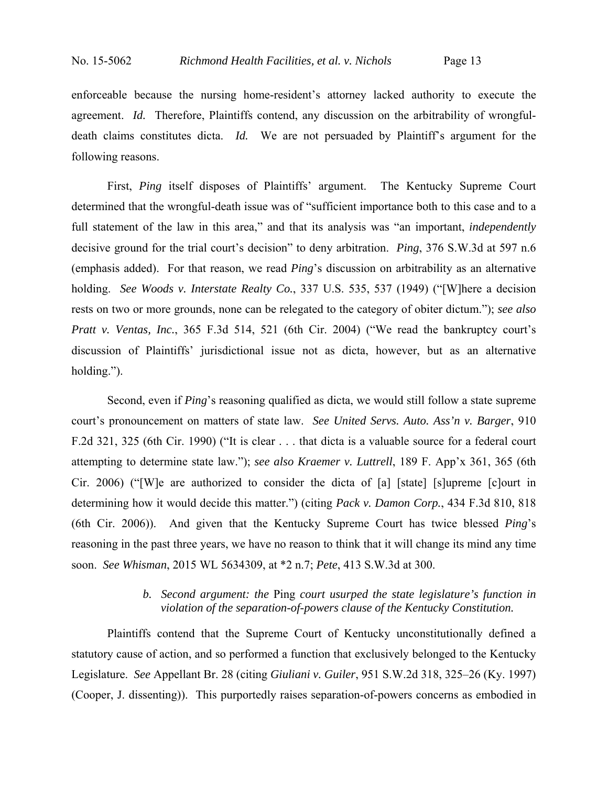enforceable because the nursing home-resident's attorney lacked authority to execute the agreement. *Id.* Therefore, Plaintiffs contend, any discussion on the arbitrability of wrongfuldeath claims constitutes dicta. *Id.* We are not persuaded by Plaintiff's argument for the following reasons.

First, *Ping* itself disposes of Plaintiffs' argument. The Kentucky Supreme Court determined that the wrongful-death issue was of "sufficient importance both to this case and to a full statement of the law in this area," and that its analysis was "an important, *independently* decisive ground for the trial court's decision" to deny arbitration. *Ping*, 376 S.W.3d at 597 n.6 (emphasis added).For that reason, we read *Ping*'s discussion on arbitrability as an alternative holding. *See Woods v. Interstate Realty Co.*, 337 U.S. 535, 537 (1949) ("[W]here a decision rests on two or more grounds, none can be relegated to the category of obiter dictum."); *see also Pratt v. Ventas, Inc.*, 365 F.3d 514, 521 (6th Cir. 2004) ("We read the bankruptcy court's discussion of Plaintiffs' jurisdictional issue not as dicta, however, but as an alternative holding.").

Second, even if *Ping*'s reasoning qualified as dicta, we would still follow a state supreme court's pronouncement on matters of state law. *See United Servs. Auto. Ass'n v. Barger*, 910 F.2d 321, 325 (6th Cir. 1990) ("It is clear . . . that dicta is a valuable source for a federal court attempting to determine state law."); *see also Kraemer v. Luttrell*, 189 F. App'x 361, 365 (6th Cir. 2006) ("[W]e are authorized to consider the dicta of [a] [state] [s]upreme [c]ourt in determining how it would decide this matter.") (citing *Pack v. Damon Corp.*, 434 F.3d 810, 818 (6th Cir. 2006)). And given that the Kentucky Supreme Court has twice blessed *Ping*'s reasoning in the past three years, we have no reason to think that it will change its mind any time soon. *See Whisman*, 2015 WL 5634309, at \*2 n.7; *Pete*, 413 S.W.3d at 300.

# *b. Second argument: the* Ping *court usurped the state legislature's function in violation of the separation-of-powers clause of the Kentucky Constitution.*

Plaintiffs contend that the Supreme Court of Kentucky unconstitutionally defined a statutory cause of action, and so performed a function that exclusively belonged to the Kentucky Legislature. *See* Appellant Br. 28 (citing *Giuliani v. Guiler*, 951 S.W.2d 318, 325–26 (Ky. 1997) (Cooper, J. dissenting)). This purportedly raises separation-of-powers concerns as embodied in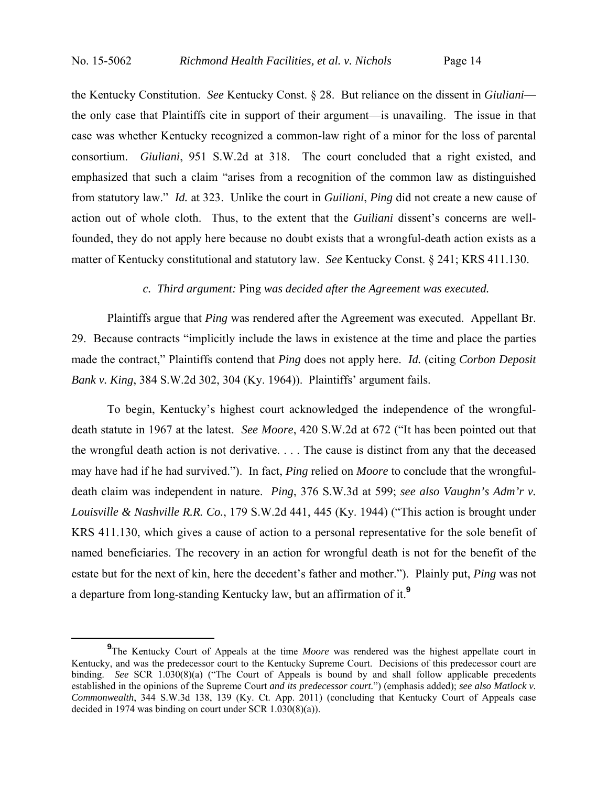the Kentucky Constitution. *See* Kentucky Const. § 28. But reliance on the dissent in *Giuliani* the only case that Plaintiffs cite in support of their argument—is unavailing. The issue in that case was whether Kentucky recognized a common-law right of a minor for the loss of parental consortium. *Giuliani*, 951 S.W.2d at 318. The court concluded that a right existed, and emphasized that such a claim "arises from a recognition of the common law as distinguished from statutory law." *Id.* at 323. Unlike the court in *Guiliani*, *Ping* did not create a new cause of action out of whole cloth. Thus, to the extent that the *Guiliani* dissent's concerns are wellfounded, they do not apply here because no doubt exists that a wrongful-death action exists as a matter of Kentucky constitutional and statutory law. *See* Kentucky Const. § 241; KRS 411.130.

## *c. Third argument:* Ping *was decided after the Agreement was executed.*

Plaintiffs argue that *Ping* was rendered after the Agreement was executed. Appellant Br. 29. Because contracts "implicitly include the laws in existence at the time and place the parties made the contract," Plaintiffs contend that *Ping* does not apply here. *Id.* (citing *Corbon Deposit Bank v. King*, 384 S.W.2d 302, 304 (Ky. 1964)). Plaintiffs' argument fails.

To begin, Kentucky's highest court acknowledged the independence of the wrongfuldeath statute in 1967 at the latest. *See Moore*, 420 S.W.2d at 672 ("It has been pointed out that the wrongful death action is not derivative. . . . The cause is distinct from any that the deceased may have had if he had survived."). In fact, *Ping* relied on *Moore* to conclude that the wrongfuldeath claim was independent in nature. *Ping*, 376 S.W.3d at 599; *see also Vaughn's Adm'r v. Louisville & Nashville R.R. Co.*, 179 S.W.2d 441, 445 (Ky. 1944) ("This action is brought under KRS 411.130, which gives a cause of action to a personal representative for the sole benefit of named beneficiaries. The recovery in an action for wrongful death is not for the benefit of the estate but for the next of kin, here the decedent's father and mother."). Plainly put, *Ping* was not a departure from long-standing Kentucky law, but an affirmation of it.**<sup>9</sup>**

**<sup>9</sup>** <sup>9</sup>The Kentucky Court of Appeals at the time *Moore* was rendered was the highest appellate court in Kentucky, and was the predecessor court to the Kentucky Supreme Court. Decisions of this predecessor court are binding. *See* SCR 1.030(8)(a) ("The Court of Appeals is bound by and shall follow applicable precedents established in the opinions of the Supreme Court *and its predecessor court.*") (emphasis added); *see also Matlock v. Commonwealth*, 344 S.W.3d 138, 139 (Ky. Ct. App. 2011) (concluding that Kentucky Court of Appeals case decided in 1974 was binding on court under SCR 1.030(8)(a)).